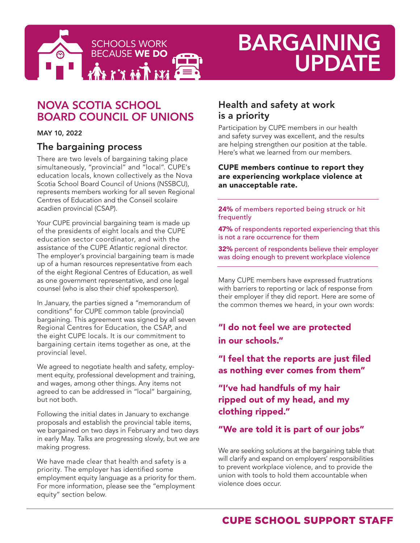

# BARGAINING UPDATE

# NOVA SCOTIA SCHOOL BOARD COUNCIL OF UNIONS

MAY 10, 2022

## The bargaining process

There are two levels of bargaining taking place simultaneously, "provincial" and "local". CUPE's education locals, known collectively as the Nova Scotia School Board Council of Unions (NSSBCU), represents members working for all seven Regional Centres of Education and the Conseil scolaire acadien provincial (CSAP).

Your CUPE provincial bargaining team is made up of the presidents of eight locals and the CUPE education sector coordinator, and with the assistance of the CUPE Atlantic regional director. The employer's provincial bargaining team is made up of a human resources representative from each of the eight Regional Centres of Education, as well as one government representative, and one legal counsel (who is also their chief spokesperson).

In January, the parties signed a "memorandum of conditions" for CUPE common table (provincial) bargaining. This agreement was signed by all seven Regional Centres for Education, the CSAP, and the eight CUPE locals. It is our commitment to bargaining certain items together as one, at the provincial level.

We agreed to negotiate health and safety, employment equity, professional development and training, and wages, among other things. Any items not agreed to can be addressed in "local" bargaining, but not both.

Following the initial dates in January to exchange proposals and establish the provincial table items, we bargained on two days in February and two days in early May. Talks are progressing slowly, but we are making progress.

We have made clear that health and safety is a priority. The employer has identified some employment equity language as a priority for them. For more information, please see the "employment equity" section below.

## Health and safety at work is a priority

Participation by CUPE members in our health and safety survey was excellent, and the results are helping strengthen our position at the table. Here's what we learned from our members.

#### CUPE members continue to report they are experiencing workplace violence at an unacceptable rate.

24% of members reported being struck or hit frequently

47% of respondents reported experiencing that this is not a rare occurrence for them

32% percent of respondents believe their employer was doing enough to prevent workplace violence

Many CUPE members have expressed frustrations with barriers to reporting or lack of response from their employer if they did report. Here are some of the common themes we heard, in your own words:

# "I do not feel we are protected in our schools."

"I feel that the reports are just filed as nothing ever comes from them"

## "I've had handfuls of my hair ripped out of my head, and my clothing ripped."

## "We are told it is part of our jobs"

We are seeking solutions at the bargaining table that will clarify and expand on employers' responsibilities to prevent workplace violence, and to provide the union with tools to hold them accountable when violence does occur.